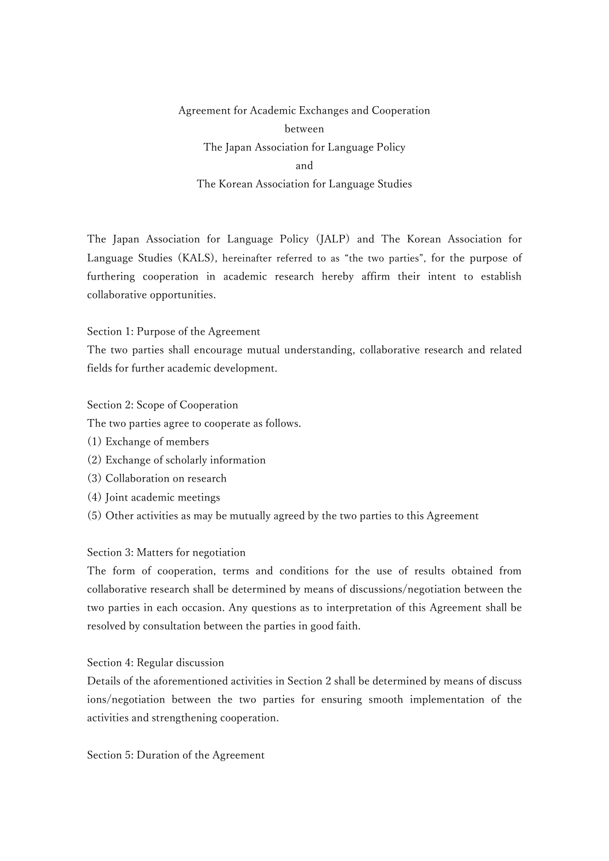Agreement for Academic Exchanges and Cooperation between The Japan Association for Language Policy and The Korean Association for Language Studies

The Japan Association for Language Policy (JALP) and The Korean Association for Language Studies (KALS), hereinafter referred to as "the two parties", for the purpose of furthering cooperation in academic research hereby affirm their intent to establish collaborative opportunities.

## Section 1: Purpose of the Agreement

The two parties shall encourage mutual understanding, collaborative research and related fields for further academic development.

## Section 2: Scope of Cooperation

The two parties agree to cooperate as follows.

- (1) Exchange of members
- (2) Exchange of scholarly information
- (3) Collaboration on research
- (4) Joint academic meetings
- (5) Other activities as may be mutually agreed by the two parties to this Agreement

## Section 3: Matters for negotiation

The form of cooperation, terms and conditions for the use of results obtained from collaborative research shall be determined by means of discussions/negotiation between the two parties in each occasion. Any questions as to interpretation of this Agreement shall be resolved by consultation between the parties in good faith.

## Section 4: Regular discussion

Details of the aforementioned activities in Section 2 shall be determined by means of discuss ions/negotiation between the two parties for ensuring smooth implementation of the activities and strengthening cooperation.

Section 5: Duration of the Agreement